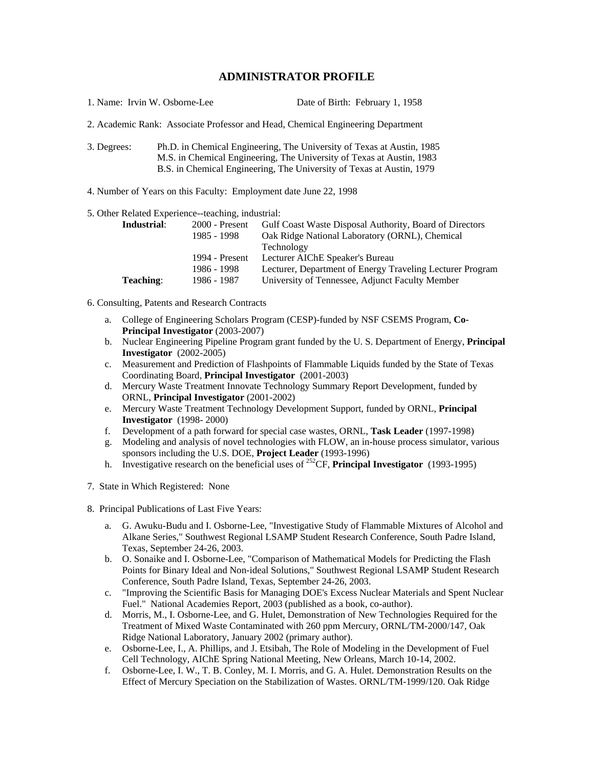## **ADMINISTRATOR PROFILE**

| 1. Name: Irvin W. Osborne-Lee | Date of Birth: February 1, 1958 |
|-------------------------------|---------------------------------|
|-------------------------------|---------------------------------|

2. Academic Rank: Associate Professor and Head, Chemical Engineering Department

3. Degrees: Ph.D. in Chemical Engineering, The University of Texas at Austin, 1985 M.S. in Chemical Engineering, The University of Texas at Austin, 1983 B.S. in Chemical Engineering, The University of Texas at Austin, 1979

4. Number of Years on this Faculty: Employment date June 22, 1998

5. Other Related Experience--teaching, industrial:

| Industrial:      | $2000$ - Present | <b>Gulf Coast Waste Disposal Authority, Board of Directors</b> |
|------------------|------------------|----------------------------------------------------------------|
|                  | 1985 - 1998      | Oak Ridge National Laboratory (ORNL), Chemical                 |
|                  |                  | Technology                                                     |
|                  | 1994 - Present   | Lecturer AIChE Speaker's Bureau                                |
|                  | 1986 - 1998      | Lecturer, Department of Energy Traveling Lecturer Program      |
| <b>Teaching:</b> | 1986 - 1987      | University of Tennessee, Adjunct Faculty Member                |

6. Consulting, Patents and Research Contracts

- a. College of Engineering Scholars Program (CESP)-funded by NSF CSEMS Program, **Co-Principal Investigator** (2003-2007)
- b. Nuclear Engineering Pipeline Program grant funded by the U. S. Department of Energy, **Principal Investigator** (2002-2005)
- c. Measurement and Prediction of Flashpoints of Flammable Liquids funded by the State of Texas Coordinating Board, **Principal Investigator** (2001-2003)
- d. Mercury Waste Treatment Innovate Technology Summary Report Development, funded by ORNL, **Principal Investigator** (2001-2002)
- e. Mercury Waste Treatment Technology Development Support, funded by ORNL, **Principal Investigator** (1998- 2000)
- f. Development of a path forward for special case wastes, ORNL, **Task Leader** (1997-1998)
- g. Modeling and analysis of novel technologies with FLOW, an in-house process simulator, various sponsors including the U.S. DOE, **Project Leader** (1993-1996)
- h. Investigative research on the beneficial uses of <sup>252</sup>CF, **Principal Investigator** (1993-1995)
- 7. State in Which Registered: None
- 8. Principal Publications of Last Five Years:
	- a. G. Awuku-Budu and I. Osborne-Lee, "Investigative Study of Flammable Mixtures of Alcohol and Alkane Series," Southwest Regional LSAMP Student Research Conference, South Padre Island, Texas, September 24-26, 2003.
	- b. O. Sonaike and I. Osborne-Lee, "Comparison of Mathematical Models for Predicting the Flash Points for Binary Ideal and Non-ideal Solutions," Southwest Regional LSAMP Student Research Conference, South Padre Island, Texas, September 24-26, 2003.
	- c. "Improving the Scientific Basis for Managing DOE's Excess Nuclear Materials and Spent Nuclear Fuel." National Academies Report, 2003 (published as a book, co-author).
	- d. Morris, M., I. Osborne-Lee, and G. Hulet, Demonstration of New Technologies Required for the Treatment of Mixed Waste Contaminated with 260 ppm Mercury, ORNL/TM-2000/147, Oak Ridge National Laboratory, January 2002 (primary author).
	- e. Osborne-Lee, I., A. Phillips, and J. Etsibah, The Role of Modeling in the Development of Fuel Cell Technology, AIChE Spring National Meeting, New Orleans, March 10-14, 2002.
	- f. Osborne-Lee, I. W., T. B. Conley, M. I. Morris, and G. A. Hulet. Demonstration Results on the Effect of Mercury Speciation on the Stabilization of Wastes. ORNL/TM-1999/120. Oak Ridge